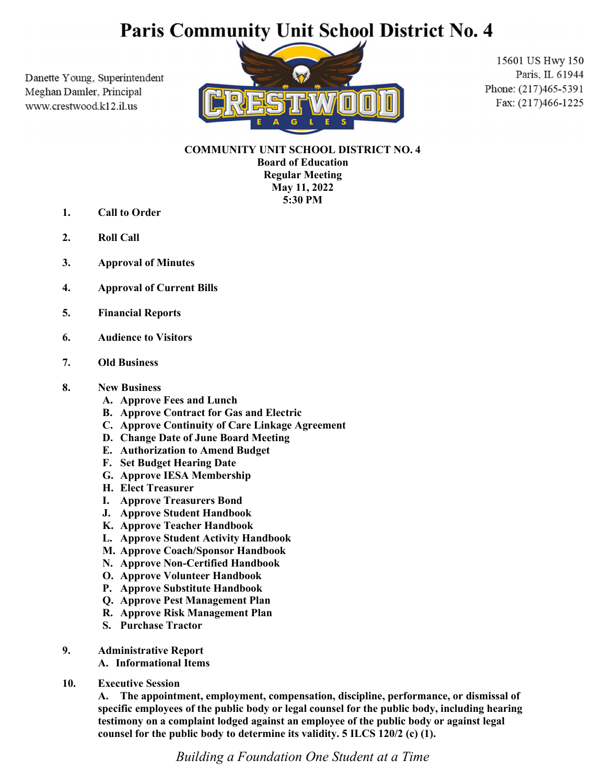# Paris Community Unit School District No. 4

Danette Young, Superintendent Meghan Damler, Principal www.crestwood.k12.il.us



15601 US Hwy 150 Paris, IL 61944 Phone: (217)465-5391 Fax: (217)466-1225

COMMUNITY UNIT SCHOOL DISTRICT NO. 4 Board of Education Regular Meeting May 11, 2022 5:30 PM

- 1. Call to Order
- 2. Roll Call
- 3. Approval of Minutes
- 4. Approval of Current Bills
- 5. Financial Reports
- 6. Audience to Visitors
- 7. Old Business

#### 8. New Business

- A. Approve Fees and Lunch
- B. Approve Contract for Gas and Electric
- C. Approve Continuity of Care Linkage Agreement
- D. Change Date of June Board Meeting
- E. Authorization to Amend Budget
- F. Set Budget Hearing Date
- G. Approve IESA Membership
- H. Elect Treasurer
- I. Approve Treasurers Bond
- J. Approve Student Handbook
- K. Approve Teacher Handbook
- L. Approve Student Activity Handbook
- M. Approve Coach/Sponsor Handbook
- N. Approve Non-Certified Handbook
- O. Approve Volunteer Handbook
- P. Approve Substitute Handbook
- Q. Approve Pest Management Plan
- R. Approve Risk Management Plan
- S. Purchase Tractor

#### 9. Administrative Report

A. Informational Items

10. Executive Session

 A. The appointment, employment, compensation, discipline, performance, or dismissal of specific employees of the public body or legal counsel for the public body, including hearing testimony on a complaint lodged against an employee of the public body or against legal counsel for the public body to determine its validity. 5 ILCS 120/2 (c) (1).

Building a Foundation One Student at a Time